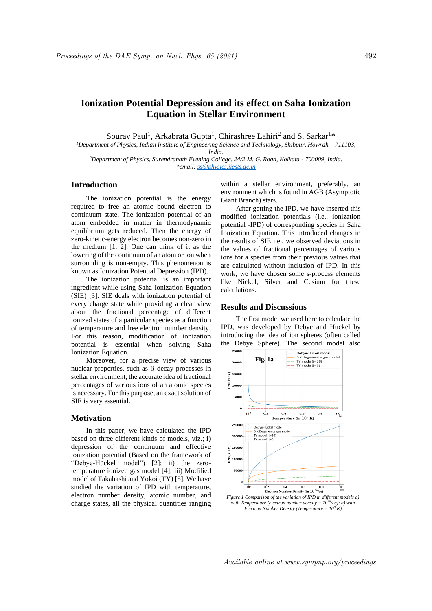# **Ionization Potential Depression and its effect on Saha Ionization Equation in Stellar Environment**

Sourav Paul<sup>1</sup>, Arkabrata Gupta<sup>1</sup>, Chirashree Lahiri<sup>2</sup> and S. Sarkar<sup>1\*</sup>

*<sup>1</sup>Department of Physics, Indian Institute of Engineering Science and Technology, Shibpur, Howrah – 711103, India.*

*<sup>2</sup>Department of Physics, Surendranath Evening College, 24/2 M. G. Road, Kolkata - 700009, India. \*email: ss@physics.iiests.ac.in*

# **Introduction**

The ionization potential is the energy required to free an atomic bound electron to continuum state. The ionization potential of an atom embedded in matter in thermodynamic equilibrium gets reduced. Then the energy of zero-kinetic-energy electron becomes non-zero in the medium [1, 2]. One can think of it as the lowering of the continuum of an atom or ion when surrounding is non-empty. This phenomenon is known as Ionization Potential Depression (IPD).

The ionization potential is an important ingredient while using Saha Ionization Equation (SIE) [3]. SIE deals with ionization potential of every charge state while providing a clear view about the fractional percentage of different ionized states of a particular species as a function of temperature and free electron number density. For this reason, modification of ionization potential is essential when solving Saha Ionization Equation.

Moreover, for a precise view of various nuclear properties, such as  $\beta$  decay processes in stellar environment, the accurate idea of fractional percentages of various ions of an atomic species is necessary. For this purpose, an exact solution of SIE is very essential.

#### **Motivation**

In this paper, we have calculated the IPD based on three different kinds of models, viz.; i) depression of the continuum and effective ionization potential (Based on the framework of "Debye-Hückel model") [2]; ii) the zerotemperature ionized gas model [4]; iii) Modified model of Takahashi and Yokoi (TY) [5]. We have studied the variation of IPD with temperature, electron number density, atomic number, and charge states, all the physical quantities ranging within a stellar environment, preferably, an environment which is found in AGB (Asymptotic Giant Branch) stars.

After getting the IPD, we have inserted this modified ionization potentials (i.e., ionization potential -IPD) of corresponding species in Saha Ionization Equation. This introduced changes in the results of SIE i.e., we observed deviations in the values of fractional percentages of various ions for a species from their previous values that are calculated without inclusion of IPD. In this work, we have chosen some s-process elements like Nickel, Silver and Cesium for these calculations.

## **Results and Discussions**

The first model we used here to calculate the IPD, was developed by Debye and Hückel by introducing the idea of ion spheres (often called the Debye Sphere). The second model also



*Electron Number Density (Temperature = 10<sup>8</sup> K)*

Available online at www.sympnp.org/proceedings